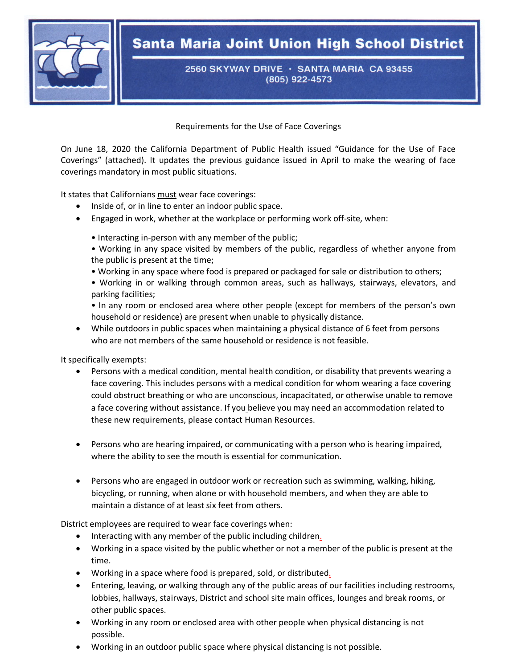

## **Santa Maria Joint Union High School District**

2560 SKYWAY DRIVE · SANTA MARIA CA 93455 (805) 922-4573

Requirements for the Use of Face Coverings

On June 18, 2020 the California Department of Public Health issued "Guidance for the Use of Face Coverings" (attached). It updates the previous guidance issued in April to make the wearing of face coverings mandatory in most public situations.

It states that Californians must wear face coverings:

- Inside of, or in line to enter an indoor public space.
- Engaged in work, whether at the workplace or performing work off-site, when:
	- Interacting in-person with any member of the public;
	- Working in any space visited by members of the public, regardless of whether anyone from the public is present at the time;
	- Working in any space where food is prepared or packaged for sale or distribution to others;
	- Working in or walking through common areas, such as hallways, stairways, elevators, and parking facilities;
	- In any room or enclosed area where other people (except for members of the person's own household or residence) are present when unable to physically distance.
- While outdoors in public spaces when maintaining a physical distance of 6 feet from persons who are not members of the same household or residence is not feasible.

It specifically exempts:

- Persons with a medical condition, mental health condition, or disability that prevents wearing a face covering. This includes persons with a medical condition for whom wearing a face covering could obstruct breathing or who are unconscious, incapacitated, or otherwise unable to remove a face covering without assistance. If you believe you may need an accommodation related to these new requirements, please contact Human Resources.
- Persons who are hearing impaired, or communicating with a person who is hearing impaired, where the ability to see the mouth is essential for communication.
- Persons who are engaged in outdoor work or recreation such as swimming, walking, hiking, bicycling, or running, when alone or with household members, and when they are able to maintain a distance of at least six feet from others.

District employees are required to wear face coverings when:

- Interacting with any member of the public including children.
- Working in a space visited by the public whether or not a member of the public is present at the time.
- Working in a space where food is prepared, sold, or distributed.
- Entering, leaving, or walking through any of the public areas of our facilities including restrooms, lobbies, hallways, stairways, District and school site main offices, lounges and break rooms, or other public spaces.
- Working in any room or enclosed area with other people when physical distancing is not possible.
- Working in an outdoor public space where physical distancing is not possible.